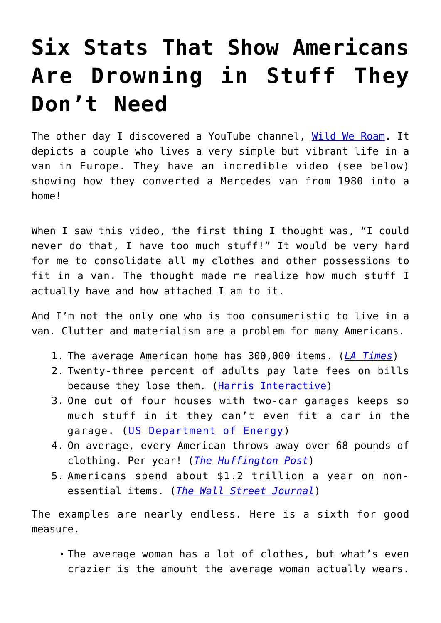## **[Six Stats That Show Americans](https://intellectualtakeout.org/2019/05/six-stats-that-show-americans-are-drowning-in-stuff-they-dont-need/) [Are Drowning in Stuff They](https://intellectualtakeout.org/2019/05/six-stats-that-show-americans-are-drowning-in-stuff-they-dont-need/) [Don't Need](https://intellectualtakeout.org/2019/05/six-stats-that-show-americans-are-drowning-in-stuff-they-dont-need/)**

The other day I discovered a YouTube channel, [Wild We Roam.](https://www.wildweroam.com) It depicts a couple who lives a very simple but vibrant life in a van in Europe. They have an incredible video (see below) showing how they converted a Mercedes van from 1980 into a home!

When I saw this video, the first thing I thought was, "I could never do that, I have too much stuff!" It would be very hard for me to consolidate all my clothes and other possessions to fit in a van. The thought made me realize how much stuff I actually have and how attached I am to it.

And I'm not the only one who is too consumeristic to live in a van. Clutter and materialism are a problem for many Americans.

- 1. The average American home has 300,000 items. (*[LA Times](https://www.latimes.com/health/la-xpm-2014-mar-21-la-he-keeping-stuff-20140322-story.html)*)
- 2. Twenty-three percent of adults pay late fees on bills because they lose them. [\(Harris Interactive\)](https://harris-interactive.com)
- 3. One out of four houses with two-car garages keeps so much stuff in it they can't even fit a car in the garage. ([US Department of Energy](https://www.energy.gov))
- 4. On average, every American throws away over 68 pounds of clothing. Per year! (*[The Huffington Post](https://www.huffpost.com/entry/closet-cast-offs-clogging_b_554400)*)
- 5. Americans spend about \$1.2 trillion a year on nonessential items. (*[The Wall Street Journal](https://blogs.wsj.com/economics/2011/04/23/number-of-the-week-americans-buy-more-stuff-they-dont-need/)*)

The examples are nearly endless. Here is a sixth for good measure.

The average woman has a lot of clothes, but what's even crazier is the amount the average woman actually wears.